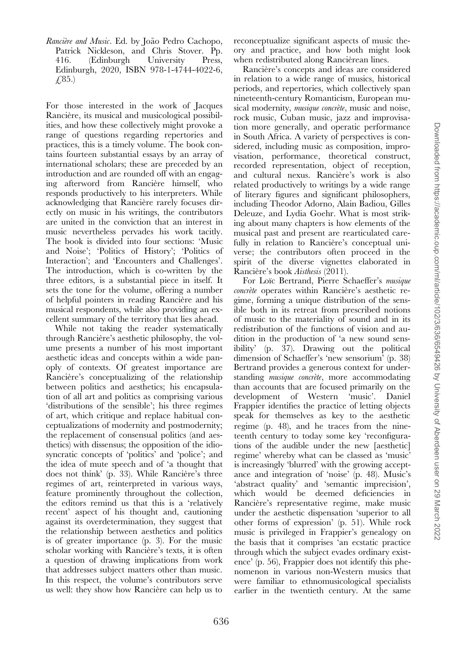Rancière and Music. Ed. by João Pedro Cachopo, Patrick Nickleson, and Chris Stover. Pp.<br>416. (Edinburgh University Press, 416. (Edinburgh University Press, Edinburgh, 2020, ISBN 978-1-4744-4022-6,  $(4.85.)$ 

For those interested in the work of Jacques Rancière, its musical and musicological possibilities, and how these collectively might provoke a range of questions regarding repertories and practices, this is a timely volume. The book contains fourteen substantial essays by an array of international scholars; these are preceded by an introduction and are rounded off with an engaging afterword from Rancière himself, who responds productively to his interpreters. While acknowledging that Rancière rarely focuses directly on music in his writings, the contributors are united in the conviction that an interest in music nevertheless pervades his work tacitly. The book is divided into four sections: 'Music and Noise'; 'Politics of History'; 'Politics of Interaction'; and 'Encounters and Challenges'. The introduction, which is co-written by the three editors, is a substantial piece in itself. It sets the tone for the volume, offering a number of helpful pointers in reading Rancière and his musical respondents, while also providing an excellent summary of the territory that lies ahead.

While not taking the reader systematically through Rancière's aesthetic philosophy, the volume presents a number of his most important aesthetic ideas and concepts within a wide panoply of contexts. Of greatest importance are Rancière's conceptualizing of the relationship between politics and aesthetics; his encapsulation of all art and politics as comprising various 'distributions of the sensible'; his three regimes of art, which critique and replace habitual conceptualizations of modernity and postmodernity; the replacement of consensual politics (and aesthetics) with dissensus; the opposition of the idiosyncratic concepts of 'politics' and 'police'; and the idea of mute speech and of 'a thought that does not think' (p. 33). While Rancière's three regimes of art, reinterpreted in various ways, feature prominently throughout the collection, the editors remind us that this is a 'relatively recent' aspect of his thought and, cautioning against its overdetermination, they suggest that the relationship between aesthetics and politics is of greater importance (p. 3). For the music scholar working with Rancière's texts, it is often a question of drawing implications from work that addresses subject matters other than music. In this respect, the volume's contributors serve us well: they show how Rancière can help us to reconceptualize significant aspects of music theory and practice, and how both might look when redistributed along Rancièrean lines.

Rancière's concepts and ideas are considered in relation to a wide range of musics, historical periods, and repertories, which collectively span nineteenth-century Romanticism, European musical modernity, *musique concrète*, music and noise, rock music, Cuban music, jazz and improvisation more generally, and operatic performance in South Africa. A variety of perspectives is considered, including music as composition, improvisation, performance, theoretical construct, recorded representation, object of reception, and cultural nexus. Rancière's work is also related productively to writings by a wide range of literary figures and significant philosophers, including Theodor Adorno, Alain Badiou, Gilles Deleuze, and Lydia Goehr. What is most striking about many chapters is how elements of the musical past and present are rearticulated carefully in relation to Rancière's conceptual universe; the contributors often proceed in the spirit of the diverse vignettes elaborated in Rancière's book *Aisthesis* (2011).

For Loïc Bertrand, Pierre Schaeffer's musique concrète operates within Rancière's aesthetic regime, forming a unique distribution of the sensible both in its retreat from prescribed notions of music to the materiality of sound and in its redistribution of the functions of vision and audition in the production of 'a new sound sensibility' (p. 37). Drawing out the political dimension of Schaeffer's 'new sensorium' (p. 38) Bertrand provides a generous context for understanding *musique concrète*, more accommodating than accounts that are focused primarily on the<br>development of Western 'music'. Daniel development of Western 'music'. Frappier identifies the practice of letting objects speak for themselves as key to the aesthetic regime (p. 48), and he traces from the nineteenth century to today some key 'reconfigurations of the audible under the new [aesthetic] regime' whereby what can be classed as 'music' is increasingly 'blurred' with the growing acceptance and integration of 'noise' (p. 48). Music's 'abstract quality' and 'semantic imprecision', which would be deemed deficiencies in Rancière's representative regime, make music under the aesthetic dispensation 'superior to all other forms of expression' (p. 51). While rock music is privileged in Frappier's genealogy on the basis that it comprises 'an ecstatic practice through which the subject evades ordinary existence' (p. 56), Frappier does not identify this phenomenon in various non-Western musics that were familiar to ethnomusicological specialists earlier in the twentieth century. At the same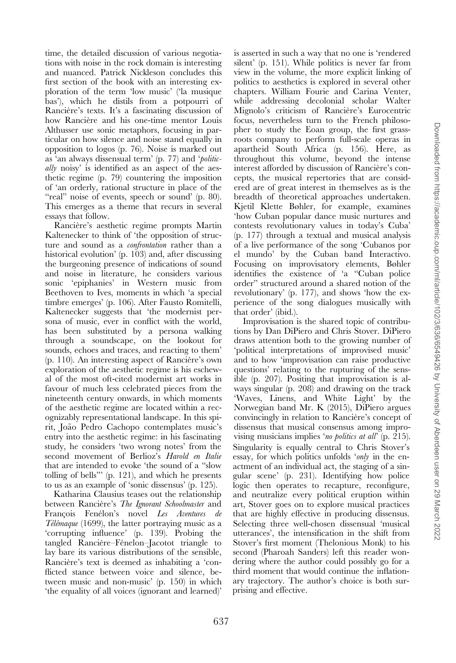time, the detailed discussion of various negotiations with noise in the rock domain is interesting and nuanced. Patrick Nickleson concludes this first section of the book with an interesting exploration of the term 'low music' ('la musique bas'), which he distils from a potpourri of Rancière's texts. It's a fascinating discussion of how Rancière and his one-time mentor Louis Althusser use sonic metaphors, focusing in particular on how silence and noise stand equally in opposition to logos (p. 76). Noise is marked out as 'an always dissensual term' (p. 77) and 'politically noisy' is identified as an aspect of the aesthetic regime (p. 79) countering the imposition of 'an orderly, rational structure in place of the "real" noise of events, speech or sound' (p. 80). This emerges as a theme that recurs in several essays that follow.

Rancière's aesthetic regime prompts Martin Kaltenecker to think of 'the opposition of structure and sound as a confrontation rather than a historical evolution' (p. 103) and, after discussing the burgeoning presence of indications of sound and noise in literature, he considers various sonic 'epiphanies' in Western music from Beethoven to Ives, moments in which 'a special timbre emerges' (p. 106). After Fausto Romitelli, Kaltenecker suggests that 'the modernist persona of music, ever in conflict with the world, has been substituted by a persona walking through a soundscape, on the lookout for sounds, echoes and traces, and reacting to them'  $(p. 110)$ . An interesting aspect of Rancière's own exploration of the aesthetic regime is his eschewal of the most oft-cited modernist art works in favour of much less celebrated pieces from the nineteenth century onwards, in which moments of the aesthetic regime are located within a recognizably representational landscape. In this spirit, João Pedro Cachopo contemplates music's entry into the aesthetic regime: in his fascinating study, he considers 'two wrong notes' from the second movement of Berlioz's Harold en Italie that are intended to evoke 'the sound of a "slow tolling of bells"' (p. 121), and which he presents to us as an example of 'sonic dissensus' (p. 125).

Katharina Clausius teases out the relationship between Rancière's The Ignorant Schoolmaster and François Fenélon's novel Les Aventures de Télémaque (1699), the latter portraying music as a 'corrupting influence' (p. 139). Probing the tangled Rancière–Fénelon–Jacotot triangle to lay bare its various distributions of the sensible, Rancière's text is deemed as inhabiting a 'conflicted stance between voice and silence, between music and non-music' (p. 150) in which 'the equality of all voices (ignorant and learned)'

is asserted in such a way that no one is 'rendered silent' (p. 151). While politics is never far from view in the volume, the more explicit linking of politics to aesthetics is explored in several other chapters. William Fourie and Carina Venter, while addressing decolonial scholar Walter Mignolo's criticism of Rancière's Eurocentric focus, nevertheless turn to the French philosopher to study the Eoan group, the first grassroots company to perform full-scale operas in apartheid South Africa (p. 156). Here, as throughout this volume, beyond the intense interest afforded by discussion of Rancière's concepts, the musical repertories that are considered are of great interest in themselves as is the breadth of theoretical approaches undertaken. Kjetil Klette Bøhler, for example, examines 'how Cuban popular dance music nurtures and contests revolutionary values in today's Cuba' (p. 177) through a textual and musical analysis of a live performance of the song 'Cubanos por el mundo' by the Cuban band Interactivo. Focusing on improvisatory elements, Bøhler identifies the existence of 'a "Cuban police order" structured around a shared notion of the revolutionary' (p. 177), and shows 'how the experience of the song dialogues musically with that order' (ibid.).

Improvisation is the shared topic of contributions by Dan DiPiero and Chris Stover. DiPiero draws attention both to the growing number of 'political interpretations of improvised music' and to how 'improvisation can raise productive questions' relating to the rupturing of the sensible (p. 207). Positing that improvisation is always singular (p. 208) and drawing on the track 'Waves, Linens, and White Light' by the Norwegian band Mr. K (2015), DiPiero argues convincingly in relation to Rancière's concept of dissensus that musical consensus among improvising musicians implies 'no politics at all' (p. 215). Singularity is equally central to Chris Stover's essay, for which politics unfolds '*only* in the enactment of an individual act, the staging of a singular scene' (p. 231). Identifying how police logic then operates to recapture, reconfigure, and neutralize every political eruption within art, Stover goes on to explore musical practices that are highly effective in producing dissensus. Selecting three well-chosen dissensual 'musical utterances', the intensification in the shift from Stover's first moment (Thelonious Monk) to his second (Pharoah Sanders) left this reader wondering where the author could possibly go for a third moment that would continue the inflationary trajectory. The author's choice is both surprising and effective.